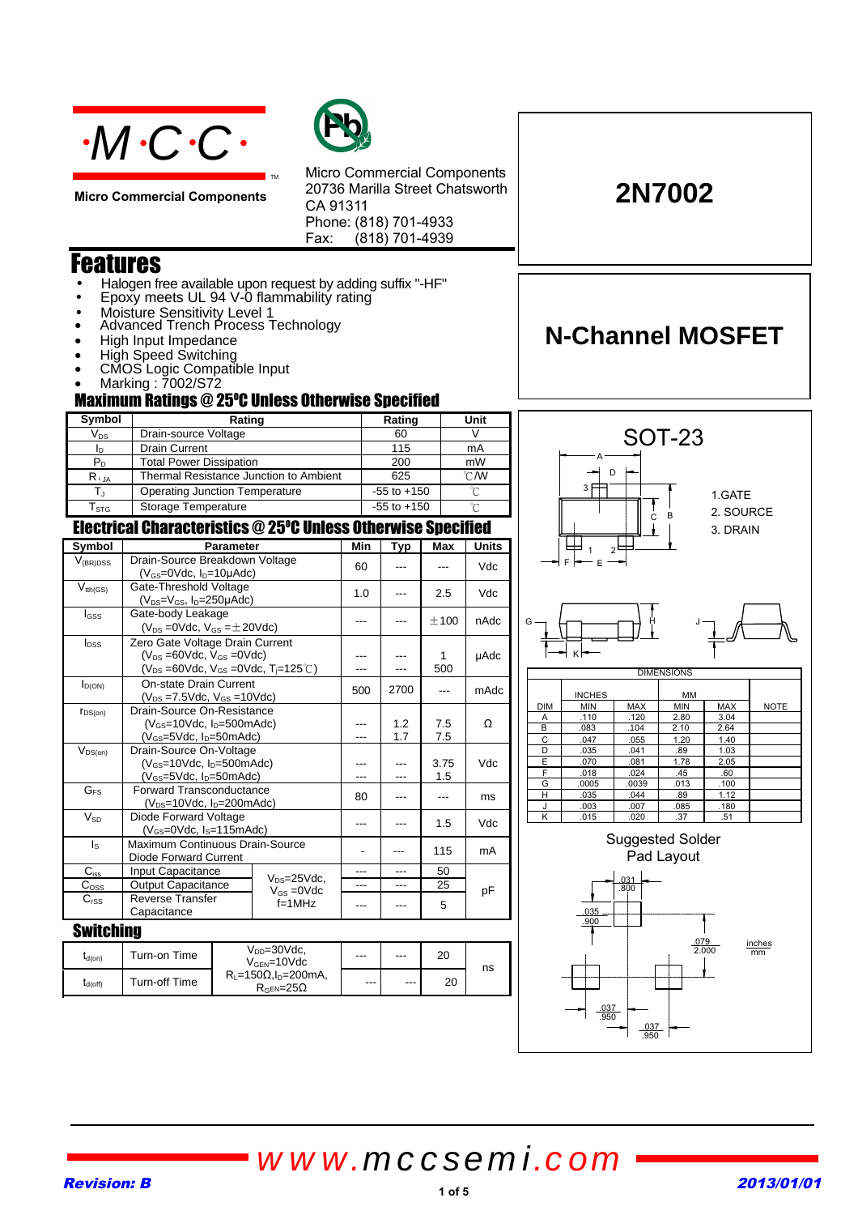

**Micro Commercial Components**



Micro Commercial Components 20736 Marilla Street Chatsworth CA 91311 Phone: (818) 701-4933 Fax:  $(818)$  701-4939

# Features

• Halogen free available upon request by adding suffix "-HF"

TM

- Epoxy meets UL 94 V-0 flammability rating
- Moisture Sensitivity Level 1
- Advanced Trench Process Technology
- High Input Impedance
- High Speed Switching
- CMOS Logic Compatible Input
- Marking : 7002/S72

### **Maximum Ratings @ 25°C Unless Otherwise Specified**

| Symbol                     | Rating                                 | Rating          | Unit          |  |
|----------------------------|----------------------------------------|-----------------|---------------|--|
| $\mathsf{V}_{\mathsf{DS}}$ | Drain-source Voltage                   | 60              |               |  |
| ID                         | <b>Drain Current</b>                   | 115             | mA            |  |
| $\mathsf{P}_\mathsf{D}$    | <b>Total Power Dissipation</b>         | 200             | mW            |  |
| $R_{\theta,IA}$            | Thermal Resistance Junction to Ambient | 625             | $\degree$ C/W |  |
|                            | Operating Junction Temperature         | $-55$ to $+150$ |               |  |
| $\mathsf{T}_{\text{STG}}$  | Storage Temperature                    | $-55$ to $+150$ | $\sim$        |  |

### Electrical Characteristics @ 25°C Unless Otherwise Specified

| Symbol                       | <b>Parameter</b>                                                                                                                                  |                                                        | Min       | Typ | Max         | <b>Units</b> |      |
|------------------------------|---------------------------------------------------------------------------------------------------------------------------------------------------|--------------------------------------------------------|-----------|-----|-------------|--------------|------|
| $V_{(BR)DSS}$                | Drain-Source Breakdown Voltage<br>$(V_{GS}=0$ Vdc, $I_{D}=10\mu$ Adc)                                                                             |                                                        |           | 60  |             |              | Vdc  |
| $V_{tth(GS)}$                | Gate-Threshold Voltage<br>$(V_{DS}=V_{GS}$ , $I_{D}=250\mu \text{Ad}c$ )                                                                          |                                                        |           | 1.0 |             | 2.5          | Vdc  |
| $I_{GSS}$                    | Gate-body Leakage<br>$(V_{DS} = 0$ Vdc, $V_{GS} = \pm 20$ Vdc)                                                                                    |                                                        |           | --- |             | ±100         | nAdc |
| $I_{DSS}$                    | Zero Gate Voltage Drain Current<br>$(V_{DS} = 60$ Vdc, $V_{GS} = 0$ Vdc)<br>$(V_{DS} = 60 \text{Vdc}, V_{GS} = 0 \text{Vdc}, T_{F} = 125^{\circ}$ |                                                        |           | --- |             | 1<br>500     | µAdc |
| $I_{D(ON)}$                  | <b>On-state Drain Current</b><br>$(V_{DS} = 7.5 \text{Vdc}, V_{GS} = 10 \text{Vdc})$                                                              |                                                        |           | 500 | 2700        | ---          | mAdc |
| $r_{DS(on)}$                 | Drain-Source On-Resistance<br>$(V_{GS}=10$ Vdc, $I_D=500$ mAdc)<br>$(V_{GS}=5Vdc, I_D=50mAdc)$                                                    |                                                        |           | --- | 1.2<br>1.7  | 7.5<br>7.5   | Ω    |
| $V_{DS(on)}$                 | Drain-Source On-Voltage<br>$(V_{GS}=10Vdc, I_D=500mAdc)$<br>$(V_{GS}=5$ Vdc, $I_D=50$ mAdc)                                                       |                                                        |           |     | 3.75<br>1.5 | Vdc          |      |
| G <sub>FS</sub>              | <b>Forward Transconductance</b><br>( $V_{DS}=10Vdc$ , $I_D=200mAdc$ )                                                                             |                                                        |           | 80  | ---         | ---          | ms   |
| $V_{SD}$                     | Diode Forward Voltage<br>$(V_{GS}=0$ Vdc, $I_S=115$ mAdc)                                                                                         |                                                        | ---       | --- | 1.5         | Vdc          |      |
| $\mathsf{I}_\mathsf{S}$      | Maximum Continuous Drain-Source<br>Diode Forward Current                                                                                          |                                                        |           |     | 115         | mA           |      |
| $C_{\underline{\text{iss}}}$ | Input Capacitance                                                                                                                                 |                                                        |           | --- | ---         | 50           |      |
| $C_{\underline{OSS}}$        | <b>Output Capacitance</b>                                                                                                                         | $V_{DS}=25$ Vdc,<br>$V_{GS} = 0$ Vdc                   |           |     |             | 25           | рF   |
| $C_{rSS}$                    | <b>Reverse Transfer</b><br>Capacitance                                                                                                            |                                                        | $f=1$ MHz |     |             | 5            |      |
| <b>Switching</b>             |                                                                                                                                                   |                                                        |           |     |             |              |      |
| $t_{d(on)}$                  | Turn-on Time                                                                                                                                      | $V_{DD} = 30$ Vdc,<br>$V_{\text{GEN}} = 10 \text{Vdc}$ |           |     |             | 20           | ns   |
| $\sim$                       | $T_{\text{total}}$ all $T_{\text{total}}$                                                                                                         | $R_1 = 150 \Omega$ , $I_0 = 200$ mA,                   |           |     |             | $\cap$       |      |

 $R_{\text{GEN}} = 200$  ---  $R_{\text{GEN}} = 25\Omega$ 



.037 .950

.037 .950

**2N7002**

**N-Channel MOSFET**

# Revision: B 2013/01/01 *www.mccsemi.com*

 $t_{d(off)}$  Turn-off Time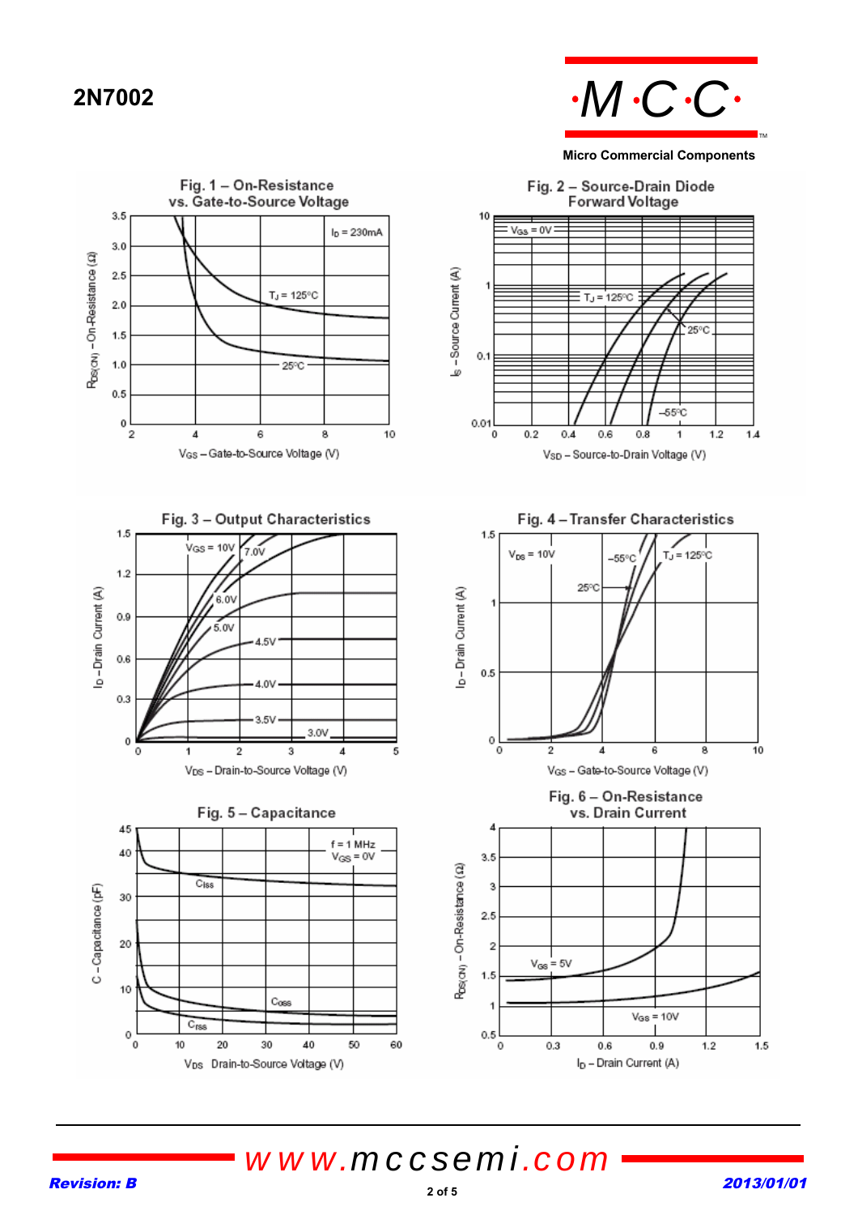

### **Micro Commercial Components**

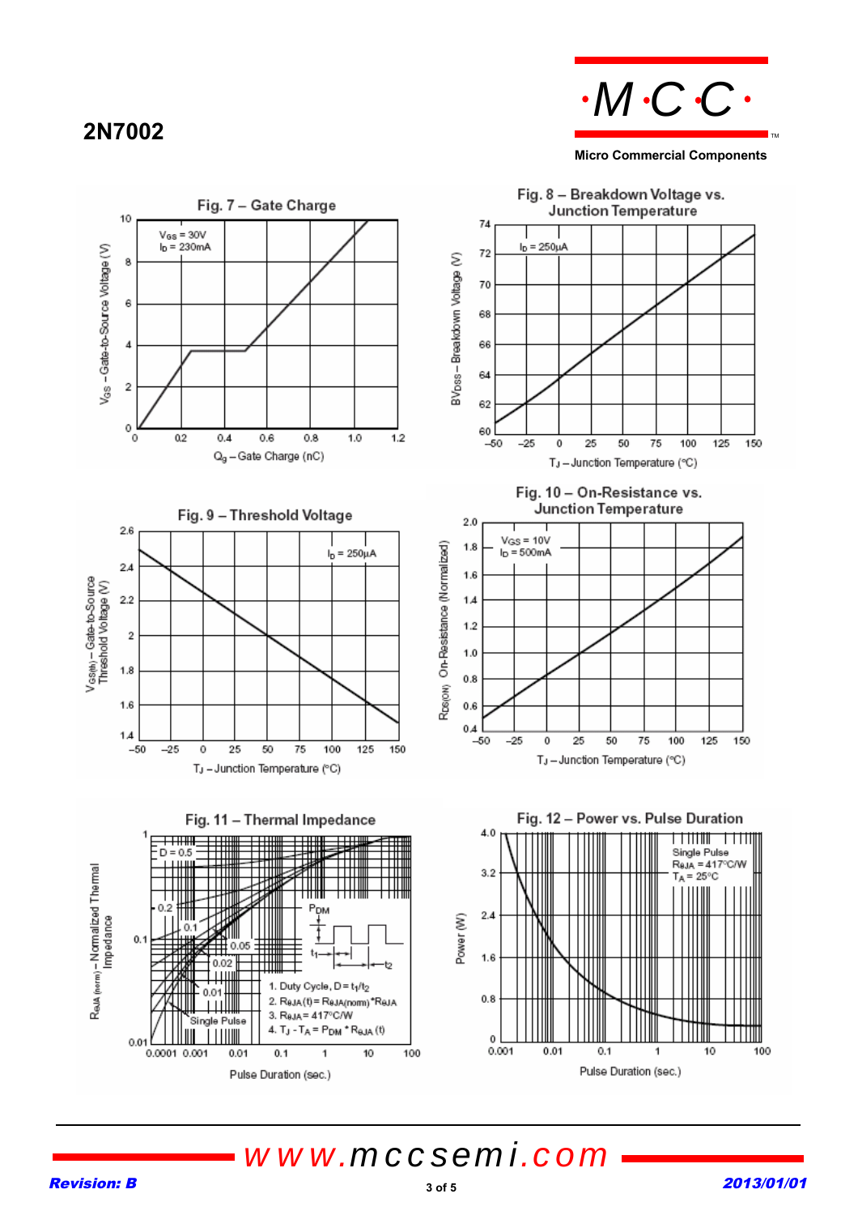# **2N7002**



**Micro Commercial Components**

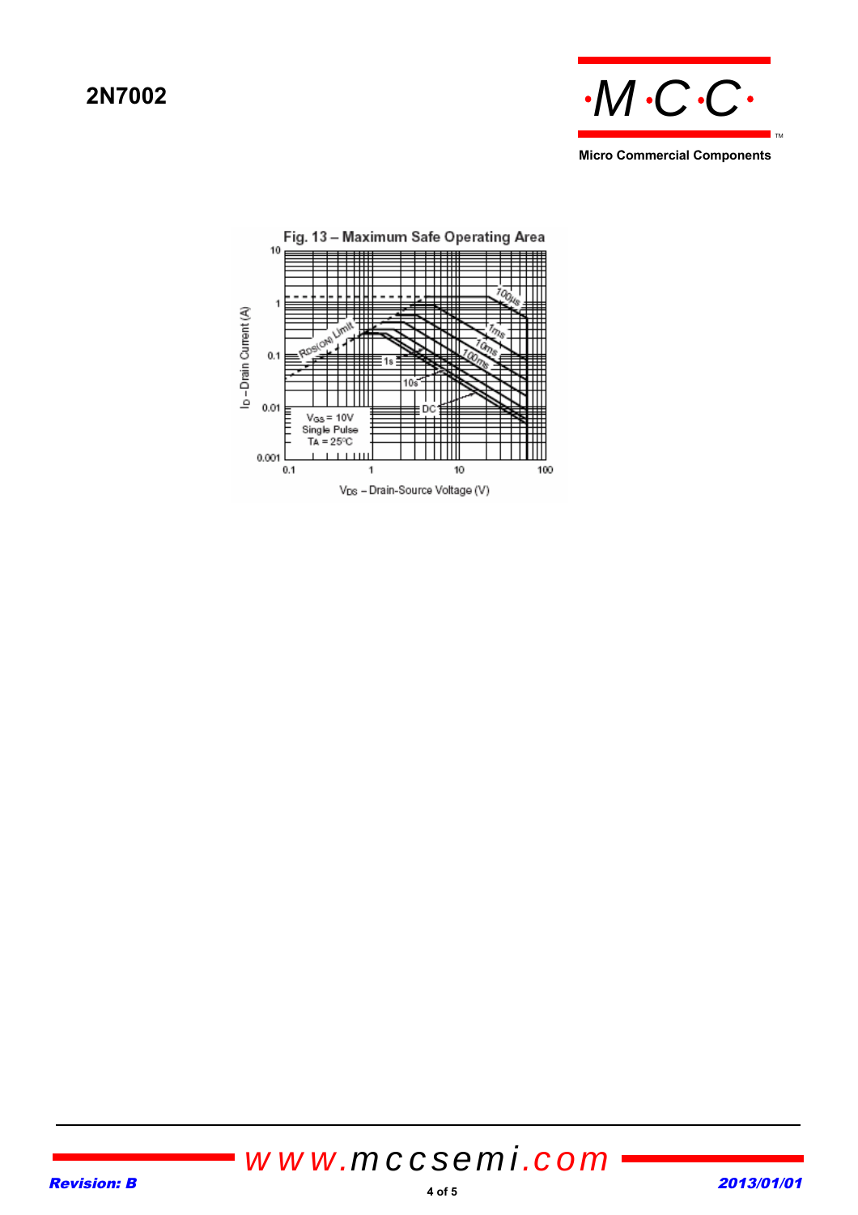